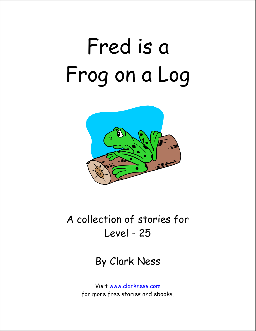## Fred is a Frog on a Log



## A collection of stories for Level - 25

By Clark Ness

Visit www.clarkness.com for more free stories and ebooks.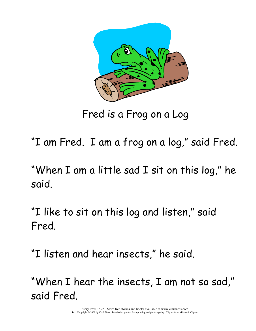

Fred is a Frog on a Log

"I am Fred. I am a frog on a log," said Fred.

"When I am a little sad I sit on this log," he said.

"I like to sit on this log and listen," said Fred.

"I listen and hear insects," he said.

"When I hear the insects, I am not so sad," said Fred.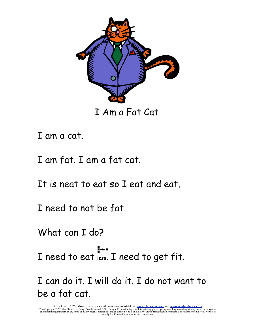

I Am a Fat Cat

I am a cat.

I am fat. I am a fat cat.

It is neat to eat so I eat and eat.

I need to not be fat.

What can I do?

I need to eat less. I need to get fit.

I can do it. I will do it. I do not want to be a fat cat.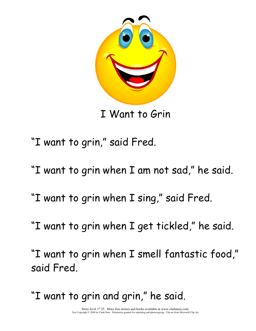

I Want to Grin

- "I want to grin," said Fred.
- "I want to grin when I am not sad," he said.
- "I want to grin when I sing," said Fred.
- "I want to grin when I get tickled," he said.

"I want to grin when I smell fantastic food," said Fred.

"I want to grin and grin," he said.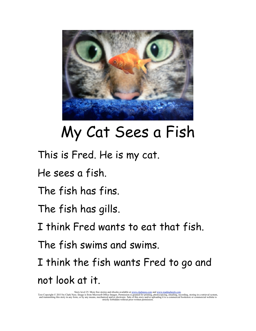

## My Cat Sees a Fish

- This is Fred. He is my cat.
- He sees a fish.
- The fish has fins.
- The fish has gills.
- I think Fred wants to eat that fish.
- The fish swims and swims.
- I think the fish wants Fred to go and not look at it.

Story level 25. More free stories and ebooks available at <u>www.clarkness.com</u> and <u>www.readinghawk.com</u><br>Text Copyright © 2015 by Clark Ness. Image is from Microsoft Office Images. Permission is granted for printing, photoc strictly forbidden without prior written permission.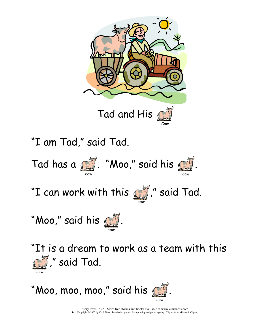



Story level  $1<sup>st</sup> 25$ . More free stories and books available at www.clarkness.com. Text Copyright © 2007 by Clark Ness. Permission granted for reprinting and photocopying. Clip art from Microsoft Clip Art.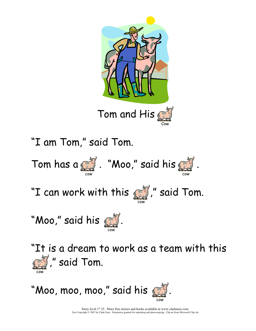



Story level  $1<sup>st</sup> 25$ . More free stories and books available at www.clarkness.com. Text Copyright © 2007 by Clark Ness. Permission granted for reprinting and photocopying. Clip art from Microsoft Clip Art.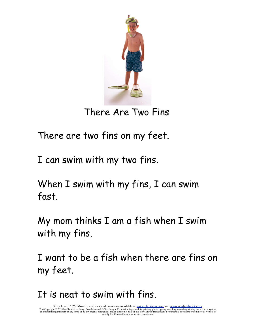

There Are Two Fins

There are two fins on my feet.

I can swim with my two fins.

When I swim with my fins, I can swim fast.

My mom thinks I am a fish when I swim with my fins.

I want to be a fish when there are fins on my feet.

It is neat to swim with fins.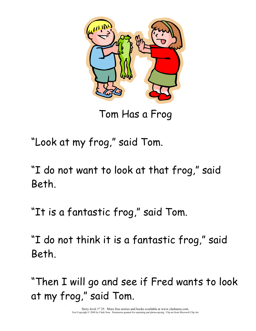

Tom Has a Frog

"Look at my frog," said Tom.

"I do not want to look at that frog," said Beth.

"It is a fantastic frog," said Tom.

"I do not think it is a fantastic frog," said Beth.

"Then I will go and see if Fred wants to look at my frog," said Tom.